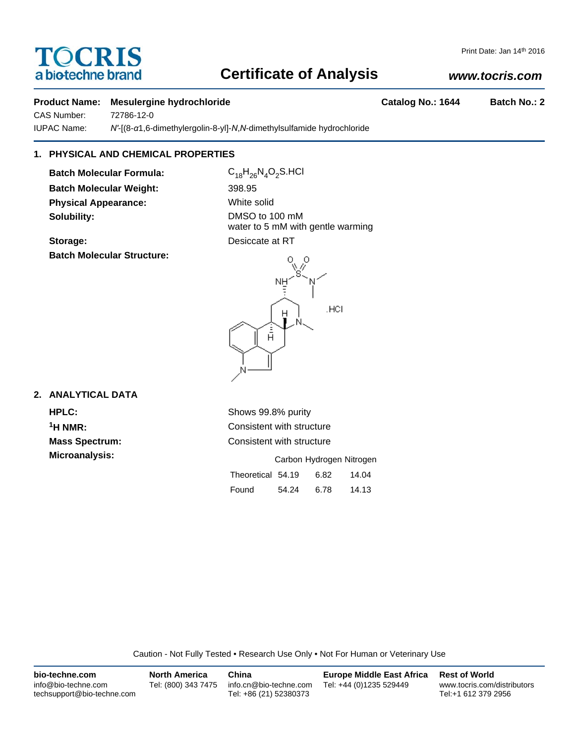# **Certificate of Analysis**

Print Date: Jan 14th 2016

# *www.tocris.com*

# **Product Name: Mesulergine hydrochloride Catalog No.: 1644 Batch No.: 2**

CAS Number: 72786-12-0

TOCRIS a biotechne brand

IUPAC Name: *N'*-[(8-*α*1,6-dimethylergolin-8-yl]-*N*,*N*-dimethylsulfamide hydrochloride

# **1. PHYSICAL AND CHEMICAL PROPERTIES**

**Batch Molecular Formula:** C<sub>18</sub>H<sub>26</sub>N<sub>4</sub>O<sub>2</sub>S.HCl **Batch Molecular Weight:** 398.95 **Physical Appearance:** White solid **Solubility:** DMSO to 100 mM

water to 5 mM with gentle warming **Storage:** Desiccate at RT

# **Batch Molecular Structure:**



# **2. ANALYTICAL DATA**

**HPLC:** Shows 99.8% purity **1H NMR:** Consistent with structure **Mass Spectrum:** Consistent with structure

| <b>Microanalysis:</b> | Carbon Hydrogen Nitrogen |       |      |       |
|-----------------------|--------------------------|-------|------|-------|
|                       | Theoretical 54.19        |       | 6.82 | 14.04 |
|                       | Found                    | 54.24 | 6.78 | 14.13 |

Caution - Not Fully Tested • Research Use Only • Not For Human or Veterinary Use

| bio-techne.com                                    | <b>North America</b> | China                                            | <b>Europe Middle East Africa</b> | <b>Rest of World</b>                               |
|---------------------------------------------------|----------------------|--------------------------------------------------|----------------------------------|----------------------------------------------------|
| info@bio-techne.com<br>techsupport@bio-techne.com | Tel: (800) 343 7475  | info.cn@bio-techne.com<br>Tel: +86 (21) 52380373 | Tel: +44 (0)1235 529449          | www.tocris.com/distributors<br>Tel:+1 612 379 2956 |